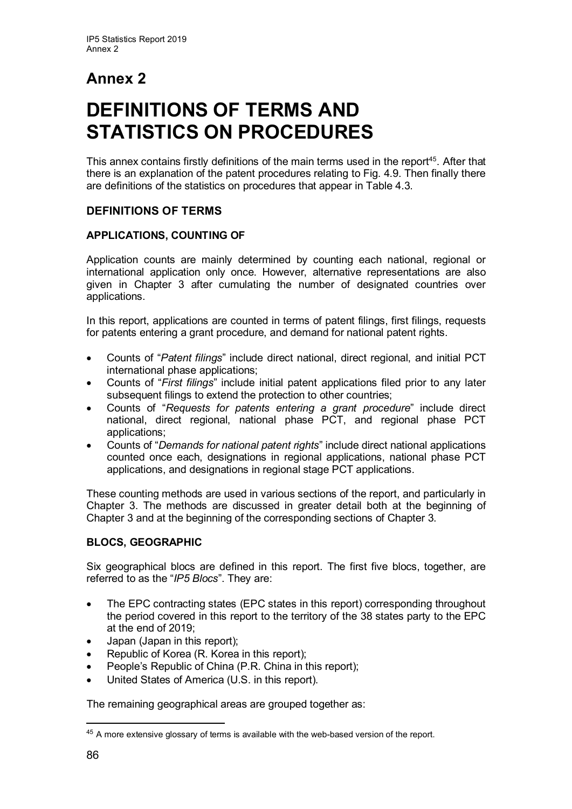# **Annex 2**

# **DEFINITIONS OF TERMS AND STATISTICS ON PROCEDURES**

This annex contains firstly definitions of the main terms used in the report<sup>45</sup>. After that there is an explanation of the patent procedures relating to Fig. 4.9. Then finally there are definitions of the statistics on procedures that appear in Table 4.3.

# **DEFINITIONS OF TERMS**

# **APPLICATIONS, COUNTING OF**

Application counts are mainly determined by counting each national, regional or international application only once. However, alternative representations are also given in Chapter 3 after cumulating the number of designated countries over applications.

In this report, applications are counted in terms of patent filings, first filings, requests for patents entering a grant procedure, and demand for national patent rights.

- Counts of "*Patent filings*" include direct national, direct regional, and initial PCT international phase applications;
- Counts of "*First filings*" include initial patent applications filed prior to any later subsequent filings to extend the protection to other countries;
- Counts of "*Requests for patents entering a grant procedure*" include direct national, direct regional, national phase PCT, and regional phase PCT applications;
- Counts of "*Demands for national patent rights*" include direct national applications counted once each, designations in regional applications, national phase PCT applications, and designations in regional stage PCT applications.

These counting methods are used in various sections of the report, and particularly in Chapter 3. The methods are discussed in greater detail both at the beginning of Chapter 3 and at the beginning of the corresponding sections of Chapter 3.

# **BLOCS, GEOGRAPHIC**

Six geographical blocs are defined in this report. The first five blocs, together, are referred to as the "*IP5 Blocs*". They are:

- The EPC contracting states (EPC states in this report) corresponding throughout the period covered in this report to the territory of the 38 states party to the EPC at the end of 2019;
- Japan (Japan in this report);
- Republic of Korea (R. Korea in this report);
- People's Republic of China (P.R. China in this report);
- United States of America (U.S. in this report).

The remaining geographical areas are grouped together as:

<span id="page-0-0"></span> $45$  A more extensive glossary of terms is available with the web-based version of the report.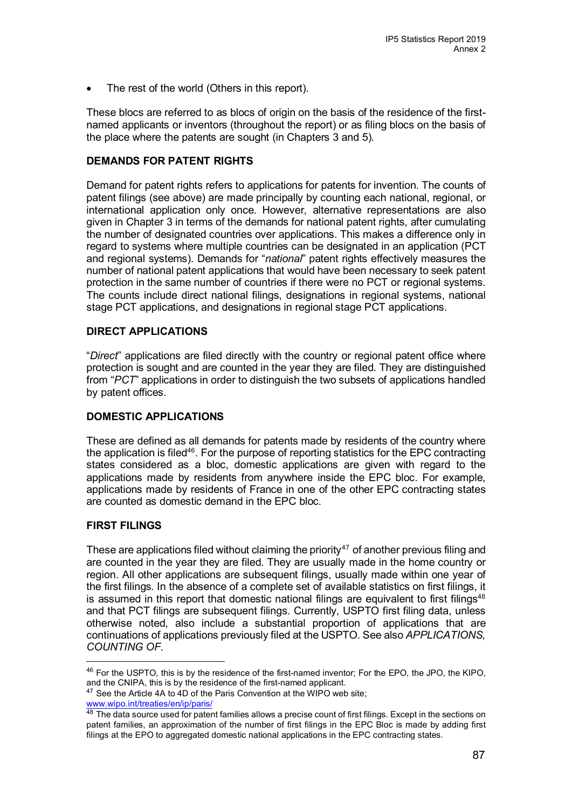The rest of the world (Others in this report).

These blocs are referred to as blocs of origin on the basis of the residence of the firstnamed applicants or inventors (throughout the report) or as filing blocs on the basis of the place where the patents are sought (in Chapters 3 and 5).

## **DEMANDS FOR PATENT RIGHTS**

Demand for patent rights refers to applications for patents for invention. The counts of patent filings (see above) are made principally by counting each national, regional, or international application only once. However, alternative representations are also given in Chapter 3 in terms of the demands for national patent rights, after cumulating the number of designated countries over applications. This makes a difference only in regard to systems where multiple countries can be designated in an application (PCT and regional systems). Demands for "*national*" patent rights effectively measures the number of national patent applications that would have been necessary to seek patent protection in the same number of countries if there were no PCT or regional systems. The counts include direct national filings, designations in regional systems, national stage PCT applications, and designations in regional stage PCT applications.

#### **DIRECT APPLICATIONS**

"*Direct*" applications are filed directly with the country or regional patent office where protection is sought and are counted in the year they are filed. They are distinguished from "*PCT*" applications in order to distinguish the two subsets of applications handled by patent offices.

#### **DOMESTIC APPLICATIONS**

These are defined as all demands for patents made by residents of the country where the application is filed<sup>46</sup>. For the purpose of reporting statistics for the EPC contracting states considered as a bloc, domestic applications are given with regard to the applications made by residents from anywhere inside the EPC bloc. For example, applications made by residents of France in one of the other EPC contracting states are counted as domestic demand in the EPC bloc.

#### **FIRST FILINGS**

These are applications filed without claiming the priority<sup>[47](#page-1-1)</sup> of another previous filing and are counted in the year they are filed. They are usually made in the home country or region. All other applications are subsequent filings, usually made within one year of the first filings. In the absence of a complete set of available statistics on first filings, it is assumed in this report that domestic national filings are equivalent to first filings<sup>[48](#page-1-2)</sup> and that PCT filings are subsequent filings. Currently, USPTO first filing data, unless otherwise noted, also include a substantial proportion of applications that are continuations of applications previously filed at the USPTO. See also *APPLICATIONS, COUNTING OF*.

<span id="page-1-0"></span><sup>46</sup> For the USPTO, this is by the residence of the first-named inventor; For the EPO, the JPO, the KIPO, and the CNIPA, this is by the residence of the first-named applicant.

<span id="page-1-1"></span><sup>&</sup>lt;sup>47</sup> See the Article 4A to 4D of the Paris Convention at the WIPO web site;

[www.wipo.int/treaties/en/ip/paris/](http://www.wipo.int/treaties/en/ip/paris/)

<span id="page-1-2"></span><sup>48</sup> The data source used for patent families allows a precise count of first filings. Except in the sections on patent families, an approximation of the number of first filings in the EPC Bloc is made by adding first filings at the EPO to aggregated domestic national applications in the EPC contracting states.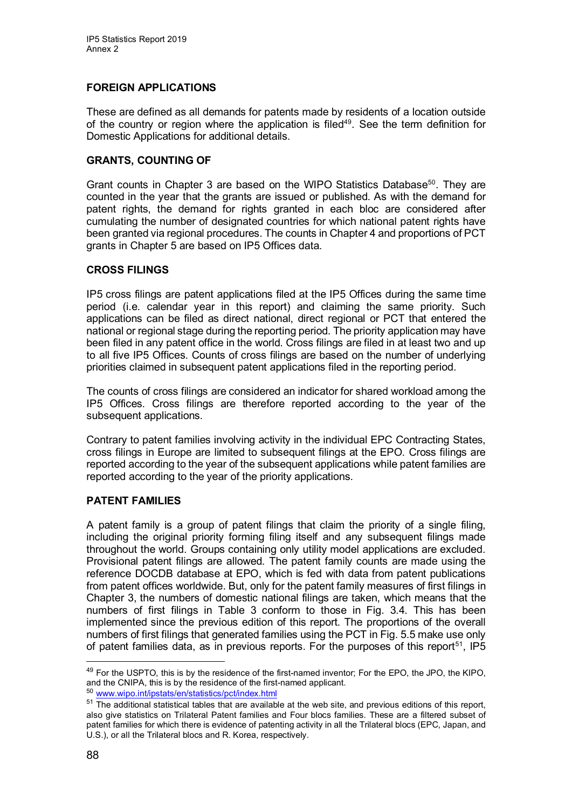# **FOREIGN APPLICATIONS**

These are defined as all demands for patents made by residents of a location outside of the country or region where the application is filed<sup>49</sup>. See the term definition for Domestic Applications for additional details.

## **GRANTS, COUNTING OF**

Grant counts in Chapter 3 are based on the WIPO Statistics Database<sup>50</sup>. They are counted in the year that the grants are issued or published. As with the demand for patent rights, the demand for rights granted in each bloc are considered after cumulating the number of designated countries for which national patent rights have been granted via regional procedures. The counts in Chapter 4 and proportions of PCT grants in Chapter 5 are based on IP5 Offices data.

#### **CROSS FILINGS**

IP5 cross filings are patent applications filed at the IP5 Offices during the same time period (i.e. calendar year in this report) and claiming the same priority. Such applications can be filed as direct national, direct regional or PCT that entered the national or regional stage during the reporting period. The priority application may have been filed in any patent office in the world. Cross filings are filed in at least two and up to all five IP5 Offices. Counts of cross filings are based on the number of underlying priorities claimed in subsequent patent applications filed in the reporting period.

The counts of cross filings are considered an indicator for shared workload among the IP5 Offices. Cross filings are therefore reported according to the year of the subsequent applications.

Contrary to patent families involving activity in the individual EPC Contracting States, cross filings in Europe are limited to subsequent filings at the EPO. Cross filings are reported according to the year of the subsequent applications while patent families are reported according to the year of the priority applications.

# **PATENT FAMILIES**

A patent family is a group of patent filings that claim the priority of a single filing, including the original priority forming filing itself and any subsequent filings made throughout the world. Groups containing only utility model applications are excluded. Provisional patent filings are allowed. The patent family counts are made using the reference DOCDB database at EPO, which is fed with data from patent publications from patent offices worldwide. But, only for the patent family measures of first filings in Chapter 3, the numbers of domestic national filings are taken, which means that the numbers of first filings in Table 3 conform to those in Fig. 3.4. This has been implemented since the previous edition of this report. The proportions of the overall numbers of first filings that generated families using the PCT in Fig. 5.5 make use only of patent families data, as in previous reports. For the purposes of this report<sup>[51](#page-2-2)</sup>, IP5

<span id="page-2-0"></span><sup>49</sup> For the USPTO, this is by the residence of the first-named inventor; For the EPO, the JPO, the KIPO, and the CNIPA, this is by the residence of the first-named applicant.

<span id="page-2-1"></span><sup>50</sup> [www.wipo.int/ipstats/en/statistics/pct/index.html](http://www.wipo.int/ipstats/en/statistics/pct/index.html)

<span id="page-2-2"></span><sup>&</sup>lt;sup>51</sup> The additional statistical tables that are available at the web site, and previous editions of this report, also give statistics on Trilateral Patent families and Four blocs families. These are a filtered subset of patent families for which there is evidence of patenting activity in all the Trilateral blocs (EPC, Japan, and U.S.), or all the Trilateral blocs and R. Korea, respectively.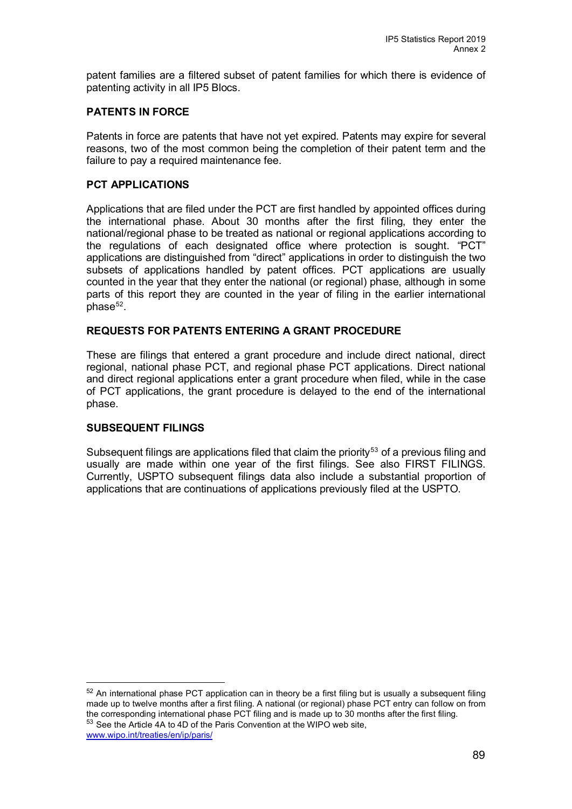patent families are a filtered subset of patent families for which there is evidence of patenting activity in all IP5 Blocs.

#### **PATENTS IN FORCE**

Patents in force are patents that have not yet expired. Patents may expire for several reasons, two of the most common being the completion of their patent term and the failure to pay a required maintenance fee.

#### **PCT APPLICATIONS**

Applications that are filed under the PCT are first handled by appointed offices during the international phase. About 30 months after the first filing, they enter the national/regional phase to be treated as national or regional applications according to the regulations of each designated office where protection is sought. "PCT" applications are distinguished from "direct" applications in order to distinguish the two subsets of applications handled by patent offices. PCT applications are usually counted in the year that they enter the national (or regional) phase, although in some parts of this report they are counted in the year of filing in the earlier international phase<sup>52</sup>.

#### **REQUESTS FOR PATENTS ENTERING A GRANT PROCEDURE**

These are filings that entered a grant procedure and include direct national, direct regional, national phase PCT, and regional phase PCT applications. Direct national and direct regional applications enter a grant procedure when filed, while in the case of PCT applications, the grant procedure is delayed to the end of the international phase.

#### **SUBSEQUENT FILINGS**

Subsequent filings are applications filed that claim the priority<sup>[53](#page-3-1)</sup> of a previous filing and usually are made within one year of the first filings. See also FIRST FILINGS. Currently, USPTO subsequent filings data also include a substantial proportion of applications that are continuations of applications previously filed at the USPTO.

<span id="page-3-1"></span>

<span id="page-3-0"></span> $52$  An international phase PCT application can in theory be a first filing but is usually a subsequent filing made up to twelve months after a first filing. A national (or regional) phase PCT entry can follow on from the corresponding international phase PCT filing and is made up to 30 months after the first filing. 53 See the Article 4A to 4D of the Paris Convention at the WIPO web site,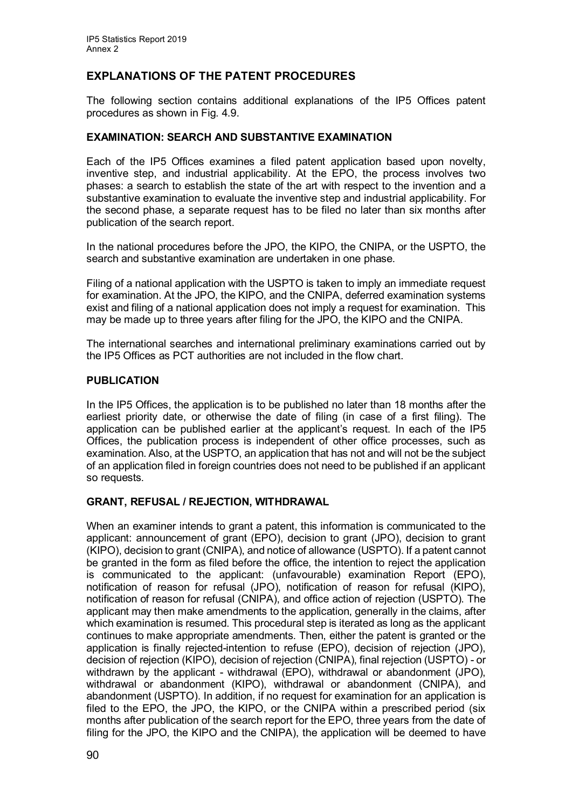# **EXPLANATIONS OF THE PATENT PROCEDURES**

The following section contains additional explanations of the IP5 Offices patent procedures as shown in Fig. 4.9.

#### **EXAMINATION: SEARCH AND SUBSTANTIVE EXAMINATION**

Each of the IP5 Offices examines a filed patent application based upon novelty, inventive step, and industrial applicability. At the EPO, the process involves two phases: a search to establish the state of the art with respect to the invention and a substantive examination to evaluate the inventive step and industrial applicability. For the second phase, a separate request has to be filed no later than six months after publication of the search report.

In the national procedures before the JPO, the KIPO, the CNIPA, or the USPTO, the search and substantive examination are undertaken in one phase.

Filing of a national application with the USPTO is taken to imply an immediate request for examination. At the JPO, the KIPO, and the CNIPA, deferred examination systems exist and filing of a national application does not imply a request for examination. This may be made up to three years after filing for the JPO, the KIPO and the CNIPA.

The international searches and international preliminary examinations carried out by the IP5 Offices as PCT authorities are not included in the flow chart.

#### **PUBLICATION**

In the IP5 Offices, the application is to be published no later than 18 months after the earliest priority date, or otherwise the date of filing (in case of a first filing). The application can be published earlier at the applicant's request. In each of the IP5 Offices, the publication process is independent of other office processes, such as examination. Also, at the USPTO, an application that has not and will not be the subject of an application filed in foreign countries does not need to be published if an applicant so requests.

#### **GRANT, REFUSAL / REJECTION, WITHDRAWAL**

When an examiner intends to grant a patent, this information is communicated to the applicant: announcement of grant (EPO), decision to grant (JPO), decision to grant (KIPO), decision to grant (CNIPA), and notice of allowance (USPTO). If a patent cannot be granted in the form as filed before the office, the intention to reject the application is communicated to the applicant: (unfavourable) examination Report (EPO), notification of reason for refusal (JPO), notification of reason for refusal (KIPO), notification of reason for refusal (CNIPA), and office action of rejection (USPTO). The applicant may then make amendments to the application, generally in the claims, after which examination is resumed. This procedural step is iterated as long as the applicant continues to make appropriate amendments. Then, either the patent is granted or the application is finally rejected-intention to refuse (EPO), decision of rejection (JPO), decision of rejection (KIPO), decision of rejection (CNIPA), final rejection (USPTO) - or withdrawn by the applicant - withdrawal (EPO), withdrawal or abandonment (JPO), withdrawal or abandonment (KIPO), withdrawal or abandonment (CNIPA), and abandonment (USPTO). In addition, if no request for examination for an application is filed to the EPO, the JPO, the KIPO, or the CNIPA within a prescribed period (six months after publication of the search report for the EPO, three years from the date of filing for the JPO, the KIPO and the CNIPA), the application will be deemed to have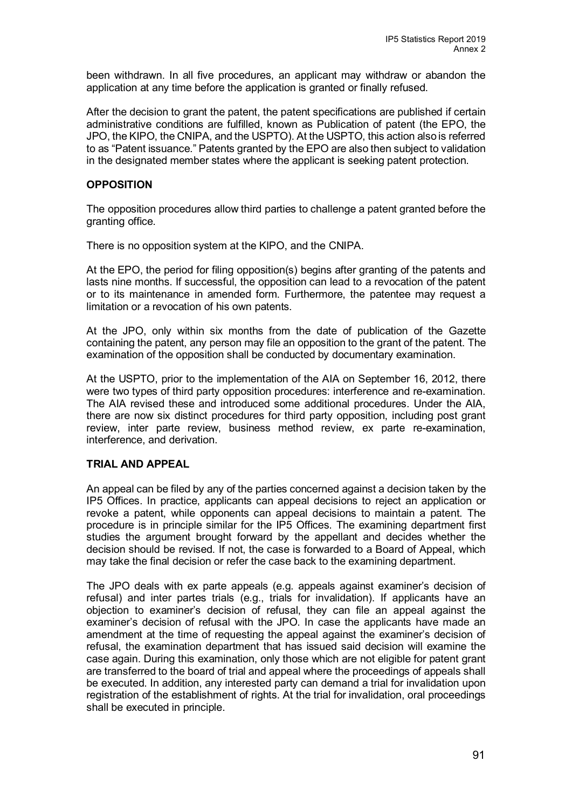been withdrawn. In all five procedures, an applicant may withdraw or abandon the application at any time before the application is granted or finally refused.

After the decision to grant the patent, the patent specifications are published if certain administrative conditions are fulfilled, known as Publication of patent (the EPO, the JPO, the KIPO, the CNIPA, and the USPTO). At the USPTO, this action also is referred to as "Patent issuance." Patents granted by the EPO are also then subject to validation in the designated member states where the applicant is seeking patent protection.

#### **OPPOSITION**

The opposition procedures allow third parties to challenge a patent granted before the granting office.

There is no opposition system at the KIPO, and the CNIPA.

At the EPO, the period for filing opposition(s) begins after granting of the patents and lasts nine months. If successful, the opposition can lead to a revocation of the patent or to its maintenance in amended form. Furthermore, the patentee may request a limitation or a revocation of his own patents.

At the JPO, only within six months from the date of publication of the Gazette containing the patent, any person may file an opposition to the grant of the patent. The examination of the opposition shall be conducted by documentary examination.

At the USPTO, prior to the implementation of the AIA on September 16, 2012, there were two types of third party opposition procedures: interference and re-examination. The AIA revised these and introduced some additional procedures. Under the AIA, there are now six distinct procedures for third party opposition, including post grant review, inter parte review, business method review, ex parte re-examination, interference, and derivation.

#### **TRIAL AND APPEAL**

An appeal can be filed by any of the parties concerned against a decision taken by the IP5 Offices. In practice, applicants can appeal decisions to reject an application or revoke a patent, while opponents can appeal decisions to maintain a patent. The procedure is in principle similar for the IP5 Offices. The examining department first studies the argument brought forward by the appellant and decides whether the decision should be revised. If not, the case is forwarded to a Board of Appeal, which may take the final decision or refer the case back to the examining department.

The JPO deals with ex parte appeals (e.g. appeals against examiner's decision of refusal) and inter partes trials (e.g., trials for invalidation). If applicants have an objection to examiner's decision of refusal, they can file an appeal against the examiner's decision of refusal with the JPO. In case the applicants have made an amendment at the time of requesting the appeal against the examiner's decision of refusal, the examination department that has issued said decision will examine the case again. During this examination, only those which are not eligible for patent grant are transferred to the board of trial and appeal where the proceedings of appeals shall be executed. In addition, any interested party can demand a trial for invalidation upon registration of the establishment of rights. At the trial for invalidation, oral proceedings shall be executed in principle.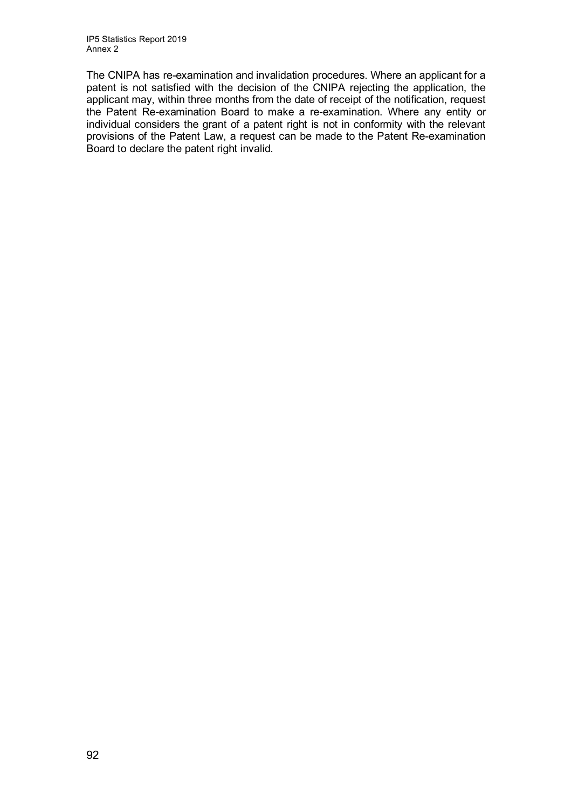The CNIPA has re-examination and invalidation procedures. Where an applicant for a patent is not satisfied with the decision of the CNIPA rejecting the application, the applicant may, within three months from the date of receipt of the notification, request the Patent Re-examination Board to make a re-examination. Where any entity or individual considers the grant of a patent right is not in conformity with the relevant provisions of the Patent Law, a request can be made to the Patent Re-examination Board to declare the patent right invalid.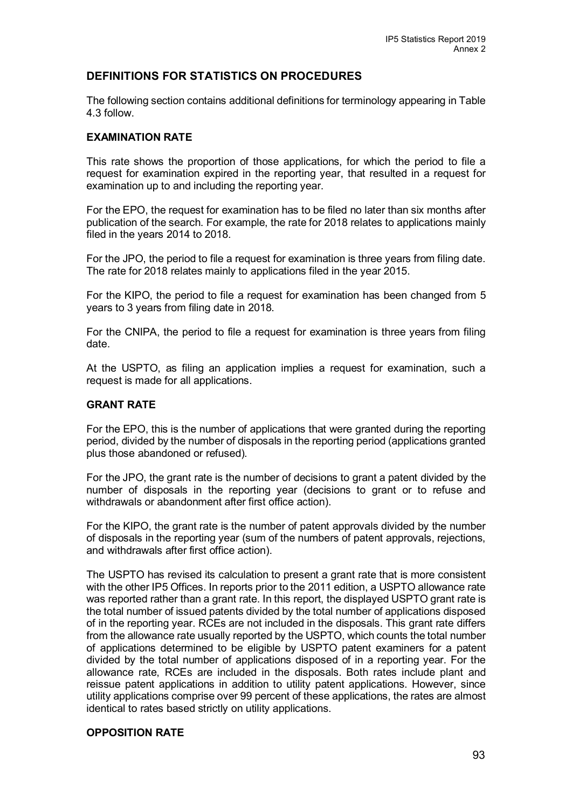# **DEFINITIONS FOR STATISTICS ON PROCEDURES**

The following section contains additional definitions for terminology appearing in Table 4.3 follow.

#### **EXAMINATION RATE**

This rate shows the proportion of those applications, for which the period to file a request for examination expired in the reporting year, that resulted in a request for examination up to and including the reporting year.

For the EPO, the request for examination has to be filed no later than six months after publication of the search. For example, the rate for 2018 relates to applications mainly filed in the years 2014 to 2018.

For the JPO, the period to file a request for examination is three years from filing date. The rate for 2018 relates mainly to applications filed in the year 2015.

For the KIPO, the period to file a request for examination has been changed from 5 years to 3 years from filing date in 2018.

For the CNIPA, the period to file a request for examination is three years from filing date.

At the USPTO, as filing an application implies a request for examination, such a request is made for all applications.

#### **GRANT RATE**

For the EPO, this is the number of applications that were granted during the reporting period, divided by the number of disposals in the reporting period (applications granted plus those abandoned or refused).

For the JPO, the grant rate is the number of decisions to grant a patent divided by the number of disposals in the reporting year (decisions to grant or to refuse and withdrawals or abandonment after first office action).

For the KIPO, the grant rate is the number of patent approvals divided by the number of disposals in the reporting year (sum of the numbers of patent approvals, rejections, and withdrawals after first office action).

The USPTO has revised its calculation to present a grant rate that is more consistent with the other IP5 Offices. In reports prior to the 2011 edition, a USPTO allowance rate was reported rather than a grant rate. In this report, the displayed USPTO grant rate is the total number of issued patents divided by the total number of applications disposed of in the reporting year. RCEs are not included in the disposals. This grant rate differs from the allowance rate usually reported by the USPTO, which counts the total number of applications determined to be eligible by USPTO patent examiners for a patent divided by the total number of applications disposed of in a reporting year. For the allowance rate, RCEs are included in the disposals. Both rates include plant and reissue patent applications in addition to utility patent applications. However, since utility applications comprise over 99 percent of these applications, the rates are almost identical to rates based strictly on utility applications.

#### **OPPOSITION RATE**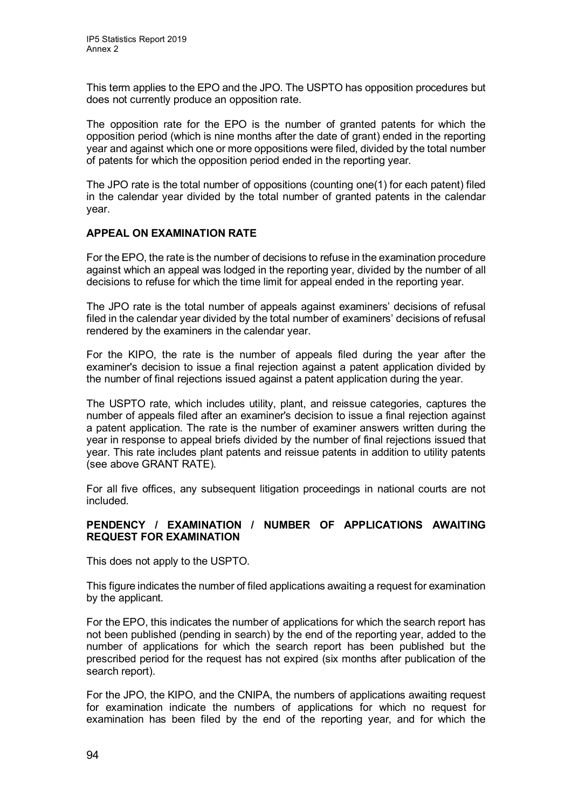This term applies to the EPO and the JPO. The USPTO has opposition procedures but does not currently produce an opposition rate.

The opposition rate for the EPO is the number of granted patents for which the opposition period (which is nine months after the date of grant) ended in the reporting year and against which one or more oppositions were filed, divided by the total number of patents for which the opposition period ended in the reporting year.

The JPO rate is the total number of oppositions (counting one(1) for each patent) filed in the calendar year divided by the total number of granted patents in the calendar year.

#### **APPEAL ON EXAMINATION RATE**

For the EPO, the rate is the number of decisions to refuse in the examination procedure against which an appeal was lodged in the reporting year, divided by the number of all decisions to refuse for which the time limit for appeal ended in the reporting year.

The JPO rate is the total number of appeals against examiners' decisions of refusal filed in the calendar year divided by the total number of examiners' decisions of refusal rendered by the examiners in the calendar year.

For the KIPO, the rate is the number of appeals filed during the year after the examiner's decision to issue a final rejection against a patent application divided by the number of final rejections issued against a patent application during the year.

The USPTO rate, which includes utility, plant, and reissue categories, captures the number of appeals filed after an examiner's decision to issue a final rejection against a patent application. The rate is the number of examiner answers written during the year in response to appeal briefs divided by the number of final rejections issued that year. This rate includes plant patents and reissue patents in addition to utility patents (see above GRANT RATE).

For all five offices, any subsequent litigation proceedings in national courts are not included.

#### **PENDENCY / EXAMINATION / NUMBER OF APPLICATIONS AWAITING REQUEST FOR EXAMINATION**

This does not apply to the USPTO.

This figure indicates the number of filed applications awaiting a request for examination by the applicant.

For the EPO, this indicates the number of applications for which the search report has not been published (pending in search) by the end of the reporting year, added to the number of applications for which the search report has been published but the prescribed period for the request has not expired (six months after publication of the search report).

For the JPO, the KIPO, and the CNIPA, the numbers of applications awaiting request for examination indicate the numbers of applications for which no request for examination has been filed by the end of the reporting year, and for which the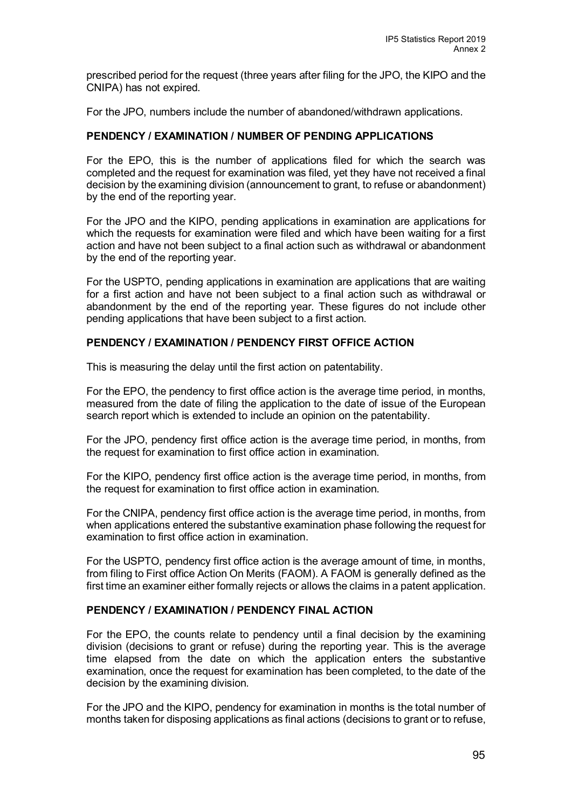prescribed period for the request (three years after filing for the JPO, the KIPO and the CNIPA) has not expired.

For the JPO, numbers include the number of abandoned/withdrawn applications.

#### **PENDENCY / EXAMINATION / NUMBER OF PENDING APPLICATIONS**

For the EPO, this is the number of applications filed for which the search was completed and the request for examination was filed, yet they have not received a final decision by the examining division (announcement to grant, to refuse or abandonment) by the end of the reporting year.

For the JPO and the KIPO, pending applications in examination are applications for which the requests for examination were filed and which have been waiting for a first action and have not been subject to a final action such as withdrawal or abandonment by the end of the reporting year.

For the USPTO, pending applications in examination are applications that are waiting for a first action and have not been subject to a final action such as withdrawal or abandonment by the end of the reporting year. These figures do not include other pending applications that have been subject to a first action.

#### **PENDENCY / EXAMINATION / PENDENCY FIRST OFFICE ACTION**

This is measuring the delay until the first action on patentability.

For the EPO, the pendency to first office action is the average time period, in months, measured from the date of filing the application to the date of issue of the European search report which is extended to include an opinion on the patentability.

For the JPO, pendency first office action is the average time period, in months, from the request for examination to first office action in examination.

For the KIPO, pendency first office action is the average time period, in months, from the request for examination to first office action in examination.

For the CNIPA, pendency first office action is the average time period, in months, from when applications entered the substantive examination phase following the request for examination to first office action in examination.

For the USPTO, pendency first office action is the average amount of time, in months, from filing to First office Action On Merits (FAOM). A FAOM is generally defined as the first time an examiner either formally rejects or allows the claims in a patent application.

#### **PENDENCY / EXAMINATION / PENDENCY FINAL ACTION**

For the EPO, the counts relate to pendency until a final decision by the examining division (decisions to grant or refuse) during the reporting year. This is the average time elapsed from the date on which the application enters the substantive examination, once the request for examination has been completed, to the date of the decision by the examining division.

For the JPO and the KIPO, pendency for examination in months is the total number of months taken for disposing applications as final actions (decisions to grant or to refuse,